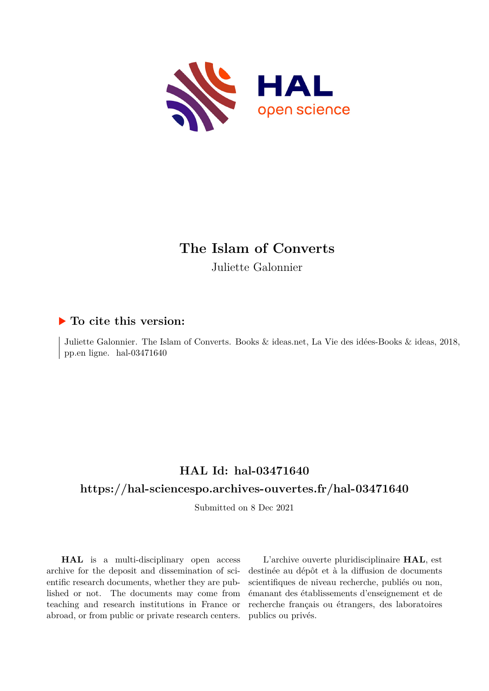

## **The Islam of Converts**

Juliette Galonnier

#### **To cite this version:**

Juliette Galonnier. The Islam of Converts. Books & ideas.net, La Vie des idées-Books & ideas, 2018, pp.en ligne.  $hal-03471640$ 

#### **HAL Id: hal-03471640 <https://hal-sciencespo.archives-ouvertes.fr/hal-03471640>**

Submitted on 8 Dec 2021

**HAL** is a multi-disciplinary open access archive for the deposit and dissemination of scientific research documents, whether they are published or not. The documents may come from teaching and research institutions in France or abroad, or from public or private research centers.

L'archive ouverte pluridisciplinaire **HAL**, est destinée au dépôt et à la diffusion de documents scientifiques de niveau recherche, publiés ou non, émanant des établissements d'enseignement et de recherche français ou étrangers, des laboratoires publics ou privés.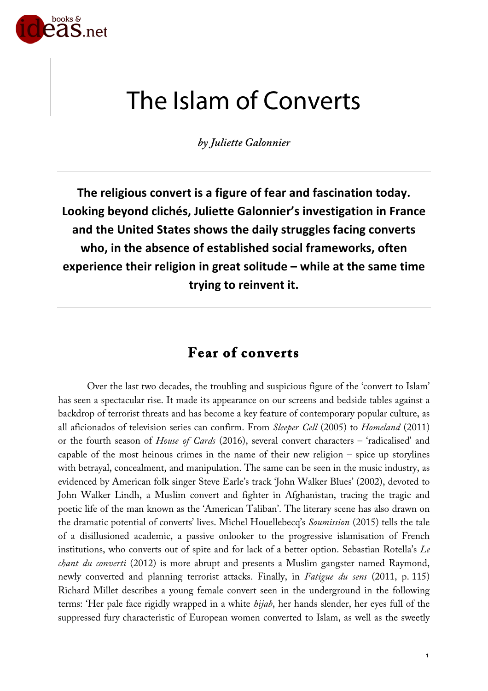

# The Islam of Converts

*by Juliette Galonnier*

**The religious convert is a figure of fear and fascination today. Looking beyond clichés, Juliette Galonnier's investigation in France and the United States shows the daily struggles facing converts who, in the absence of established social frameworks, often experience their religion in great solitude – while at the same time trying to reinvent it.**

## **Fear of converts**

Over the last two decades, the troubling and suspicious figure of the 'convert to Islam' has seen a spectacular rise. It made its appearance on our screens and bedside tables against a backdrop of terrorist threats and has become a key feature of contemporary popular culture, as all aficionados of television series can confirm. From *Sleeper Cell* (2005) to *Homeland* (2011) or the fourth season of *House of Cards* (2016), several convert characters – 'radicalised' and capable of the most heinous crimes in the name of their new religion – spice up storylines with betrayal, concealment, and manipulation. The same can be seen in the music industry, as evidenced by American folk singer Steve Earle's track 'John Walker Blues' (2002), devoted to John Walker Lindh, a Muslim convert and fighter in Afghanistan, tracing the tragic and poetic life of the man known as the 'American Taliban'. The literary scene has also drawn on the dramatic potential of converts' lives. Michel Houellebecq's *Soumission* (2015) tells the tale of a disillusioned academic, a passive onlooker to the progressive islamisation of French institutions, who converts out of spite and for lack of a better option. Sebastian Rotella's *Le chant du converti* (2012) is more abrupt and presents a Muslim gangster named Raymond, newly converted and planning terrorist attacks. Finally, in *Fatigue du sens* (2011, p. 115) Richard Millet describes a young female convert seen in the underground in the following terms: 'Her pale face rigidly wrapped in a white *hijab*, her hands slender, her eyes full of the suppressed fury characteristic of European women converted to Islam, as well as the sweetly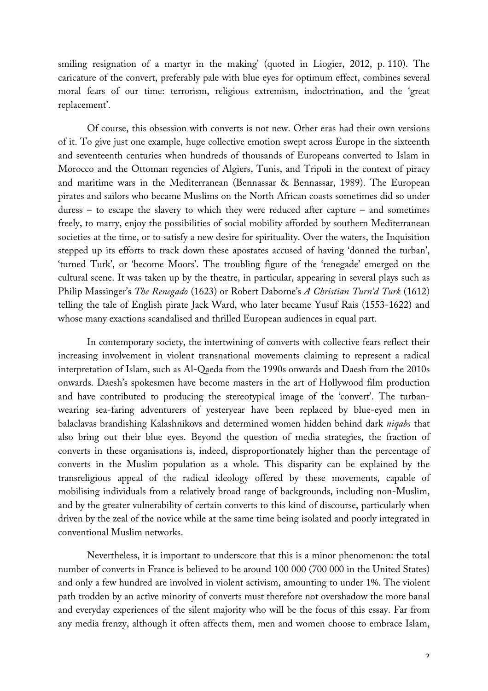smiling resignation of a martyr in the making' (quoted in Liogier, 2012, p. 110). The caricature of the convert, preferably pale with blue eyes for optimum effect, combines several moral fears of our time: terrorism, religious extremism, indoctrination, and the 'great replacement'.

Of course, this obsession with converts is not new. Other eras had their own versions of it. To give just one example, huge collective emotion swept across Europe in the sixteenth and seventeenth centuries when hundreds of thousands of Europeans converted to Islam in Morocco and the Ottoman regencies of Algiers, Tunis, and Tripoli in the context of piracy and maritime wars in the Mediterranean (Bennassar & Bennassar, 1989). The European pirates and sailors who became Muslims on the North African coasts sometimes did so under duress  $-$  to escape the slavery to which they were reduced after capture  $-$  and sometimes freely, to marry, enjoy the possibilities of social mobility afforded by southern Mediterranean societies at the time, or to satisfy a new desire for spirituality. Over the waters, the Inquisition stepped up its efforts to track down these apostates accused of having 'donned the turban', 'turned Turk', or 'become Moors'. The troubling figure of the 'renegade' emerged on the cultural scene. It was taken up by the theatre, in particular, appearing in several plays such as Philip Massinger's *The Renegado* (1623) or Robert Daborne's *A Christian Turn'd Turk* (1612) telling the tale of English pirate Jack Ward, who later became Yusuf Rais (1553-1622) and whose many exactions scandalised and thrilled European audiences in equal part.

In contemporary society, the intertwining of converts with collective fears reflect their increasing involvement in violent transnational movements claiming to represent a radical interpretation of Islam, such as Al-Qaeda from the 1990s onwards and Daesh from the 2010s onwards. Daesh's spokesmen have become masters in the art of Hollywood film production and have contributed to producing the stereotypical image of the 'convert'. The turbanwearing sea-faring adventurers of yesteryear have been replaced by blue-eyed men in balaclavas brandishing Kalashnikovs and determined women hidden behind dark *niqabs* that also bring out their blue eyes. Beyond the question of media strategies, the fraction of converts in these organisations is, indeed, disproportionately higher than the percentage of converts in the Muslim population as a whole. This disparity can be explained by the transreligious appeal of the radical ideology offered by these movements, capable of mobilising individuals from a relatively broad range of backgrounds, including non-Muslim, and by the greater vulnerability of certain converts to this kind of discourse, particularly when driven by the zeal of the novice while at the same time being isolated and poorly integrated in conventional Muslim networks.

Nevertheless, it is important to underscore that this is a minor phenomenon: the total number of converts in France is believed to be around 100 000 (700 000 in the United States) and only a few hundred are involved in violent activism, amounting to under 1%. The violent path trodden by an active minority of converts must therefore not overshadow the more banal and everyday experiences of the silent majority who will be the focus of this essay. Far from any media frenzy, although it often affects them, men and women choose to embrace Islam,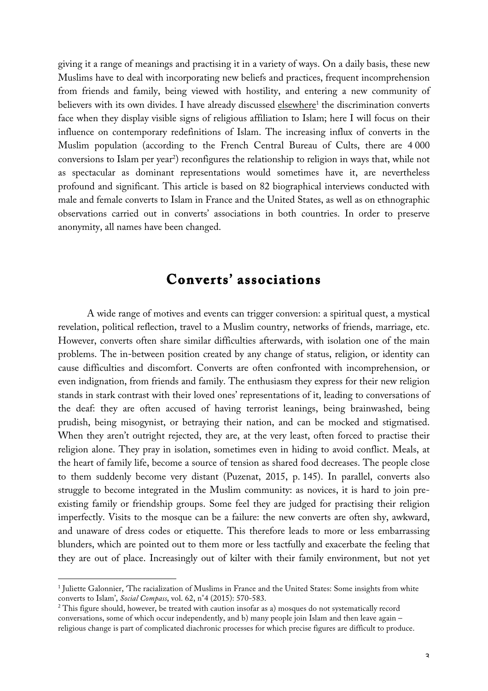giving it a range of meanings and practising it in a variety of ways. On a daily basis, these new Muslims have to deal with incorporating new beliefs and practices, frequent incomprehension from friends and family, being viewed with hostility, and entering a new community of believers with its own divides. I have already discussed elsewhere<sup>1</sup> the discrimination converts face when they display visible signs of religious affiliation to Islam; here I will focus on their influence on contemporary redefinitions of Islam. The increasing influx of converts in the Muslim population (according to the French Central Bureau of Cults, there are 4 000 conversions to Islam per year<sup>2</sup>) reconfigures the relationship to religion in ways that, while not as spectacular as dominant representations would sometimes have it, are nevertheless profound and significant. This article is based on 82 biographical interviews conducted with male and female converts to Islam in France and the United States, as well as on ethnographic observations carried out in converts' associations in both countries. In order to preserve anonymity, all names have been changed.

#### **Converts' associations**

A wide range of motives and events can trigger conversion: a spiritual quest, a mystical revelation, political reflection, travel to a Muslim country, networks of friends, marriage, etc. However, converts often share similar difficulties afterwards, with isolation one of the main problems. The in-between position created by any change of status, religion, or identity can cause difficulties and discomfort. Converts are often confronted with incomprehension, or even indignation, from friends and family. The enthusiasm they express for their new religion stands in stark contrast with their loved ones' representations of it, leading to conversations of the deaf: they are often accused of having terrorist leanings, being brainwashed, being prudish, being misogynist, or betraying their nation, and can be mocked and stigmatised. When they aren't outright rejected, they are, at the very least, often forced to practise their religion alone. They pray in isolation, sometimes even in hiding to avoid conflict. Meals, at the heart of family life, become a source of tension as shared food decreases. The people close to them suddenly become very distant (Puzenat, 2015, p. 145). In parallel, converts also struggle to become integrated in the Muslim community: as novices, it is hard to join preexisting family or friendship groups. Some feel they are judged for practising their religion imperfectly. Visits to the mosque can be a failure: the new converts are often shy, awkward, and unaware of dress codes or etiquette. This therefore leads to more or less embarrassing blunders, which are pointed out to them more or less tactfully and exacerbate the feeling that they are out of place. Increasingly out of kilter with their family environment, but not yet

 $\overline{a}$ 

<sup>&</sup>lt;sup>1</sup> Juliette Galonnier, 'The racialization of Muslims in France and the United States: Some insights from white converts to Islam', *Social Compass*, vol. 62, n°4 (2015): 570-583.

<sup>&</sup>lt;sup>2</sup> This figure should, however, be treated with caution insofar as a) mosques do not systematically record conversations, some of which occur independently, and b) many people join Islam and then leave again – religious change is part of complicated diachronic processes for which precise figures are difficult to produce.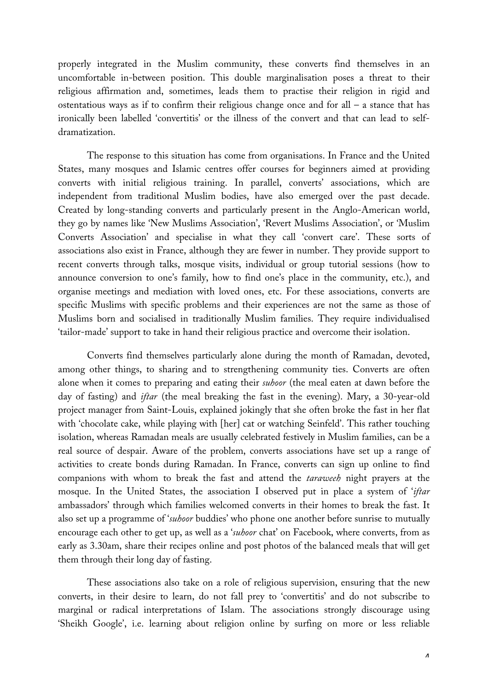properly integrated in the Muslim community, these converts find themselves in an uncomfortable in-between position. This double marginalisation poses a threat to their religious affirmation and, sometimes, leads them to practise their religion in rigid and ostentatious ways as if to confirm their religious change once and for all – a stance that has ironically been labelled 'convertitis' or the illness of the convert and that can lead to selfdramatization.

The response to this situation has come from organisations. In France and the United States, many mosques and Islamic centres offer courses for beginners aimed at providing converts with initial religious training. In parallel, converts' associations, which are independent from traditional Muslim bodies, have also emerged over the past decade. Created by long-standing converts and particularly present in the Anglo-American world, they go by names like 'New Muslims Association', 'Revert Muslims Association', or 'Muslim Converts Association' and specialise in what they call 'convert care'. These sorts of associations also exist in France, although they are fewer in number. They provide support to recent converts through talks, mosque visits, individual or group tutorial sessions (how to announce conversion to one's family, how to find one's place in the community, etc.), and organise meetings and mediation with loved ones, etc. For these associations, converts are specific Muslims with specific problems and their experiences are not the same as those of Muslims born and socialised in traditionally Muslim families. They require individualised 'tailor-made' support to take in hand their religious practice and overcome their isolation.

Converts find themselves particularly alone during the month of Ramadan, devoted, among other things, to sharing and to strengthening community ties. Converts are often alone when it comes to preparing and eating their *suhoor* (the meal eaten at dawn before the day of fasting) and *iftar* (the meal breaking the fast in the evening). Mary, a 30-year-old project manager from Saint-Louis, explained jokingly that she often broke the fast in her flat with 'chocolate cake, while playing with [her] cat or watching Seinfeld'. This rather touching isolation, whereas Ramadan meals are usually celebrated festively in Muslim families, can be a real source of despair. Aware of the problem, converts associations have set up a range of activities to create bonds during Ramadan. In France, converts can sign up online to find companions with whom to break the fast and attend the *taraweeh* night prayers at the mosque. In the United States, the association I observed put in place a system of '*iftar* ambassadors' through which families welcomed converts in their homes to break the fast. It also set up a programme of '*suhoor* buddies' who phone one another before sunrise to mutually encourage each other to get up, as well as a '*suhoor* chat' on Facebook, where converts, from as early as 3.30am, share their recipes online and post photos of the balanced meals that will get them through their long day of fasting.

These associations also take on a role of religious supervision, ensuring that the new converts, in their desire to learn, do not fall prey to 'convertitis' and do not subscribe to marginal or radical interpretations of Islam. The associations strongly discourage using 'Sheikh Google', i.e. learning about religion online by surfing on more or less reliable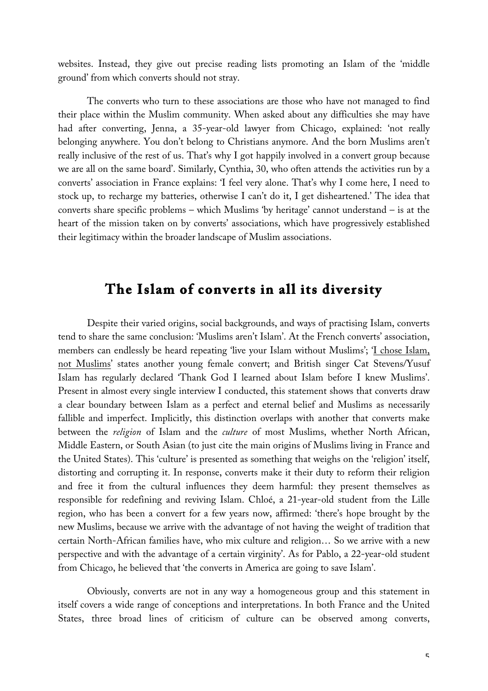websites. Instead, they give out precise reading lists promoting an Islam of the 'middle ground' from which converts should not stray.

The converts who turn to these associations are those who have not managed to find their place within the Muslim community. When asked about any difficulties she may have had after converting, Jenna, a 35-year-old lawyer from Chicago, explained: 'not really belonging anywhere. You don't belong to Christians anymore. And the born Muslims aren't really inclusive of the rest of us. That's why I got happily involved in a convert group because we are all on the same board'. Similarly, Cynthia, 30, who often attends the activities run by a converts' association in France explains: 'I feel very alone. That's why I come here, I need to stock up, to recharge my batteries, otherwise I can't do it, I get disheartened.' The idea that converts share specific problems – which Muslims 'by heritage' cannot understand – is at the heart of the mission taken on by converts' associations, which have progressively established their legitimacy within the broader landscape of Muslim associations.

## **The Islam of converts in all its diversity**

Despite their varied origins, social backgrounds, and ways of practising Islam, converts tend to share the same conclusion: 'Muslims aren't Islam'. At the French converts' association, members can endlessly be heard repeating 'live your Islam without Muslims'; 'I chose Islam, not Muslims' states another young female convert; and British singer Cat Stevens/Yusuf Islam has regularly declared 'Thank God I learned about Islam before I knew Muslims'. Present in almost every single interview I conducted, this statement shows that converts draw a clear boundary between Islam as a perfect and eternal belief and Muslims as necessarily fallible and imperfect. Implicitly, this distinction overlaps with another that converts make between the *religion* of Islam and the *culture* of most Muslims, whether North African, Middle Eastern, or South Asian (to just cite the main origins of Muslims living in France and the United States). This 'culture' is presented as something that weighs on the 'religion' itself, distorting and corrupting it. In response, converts make it their duty to reform their religion and free it from the cultural influences they deem harmful: they present themselves as responsible for redefining and reviving Islam. Chloé, a 21-year-old student from the Lille region, who has been a convert for a few years now, affirmed: 'there's hope brought by the new Muslims, because we arrive with the advantage of not having the weight of tradition that certain North-African families have, who mix culture and religion… So we arrive with a new perspective and with the advantage of a certain virginity'. As for Pablo, a 22-year-old student from Chicago, he believed that 'the converts in America are going to save Islam'.

Obviously, converts are not in any way a homogeneous group and this statement in itself covers a wide range of conceptions and interpretations. In both France and the United States, three broad lines of criticism of culture can be observed among converts,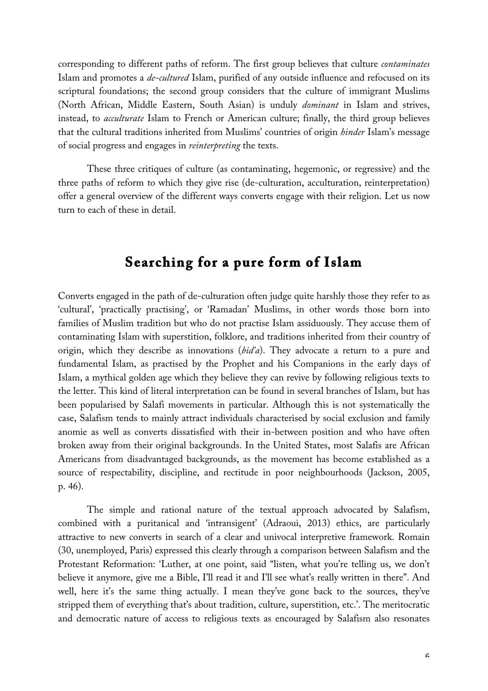corresponding to different paths of reform. The first group believes that culture *contaminates* Islam and promotes a *de-cultured* Islam, purified of any outside influence and refocused on its scriptural foundations; the second group considers that the culture of immigrant Muslims (North African, Middle Eastern, South Asian) is unduly *dominant* in Islam and strives, instead, to *acculturate* Islam to French or American culture; finally, the third group believes that the cultural traditions inherited from Muslims' countries of origin *hinder* Islam's message of social progress and engages in *reinterpreting* the texts.

These three critiques of culture (as contaminating, hegemonic, or regressive) and the three paths of reform to which they give rise (de-culturation, acculturation, reinterpretation) offer a general overview of the different ways converts engage with their religion. Let us now turn to each of these in detail.

### **Searching for a pure form of Islam**

Converts engaged in the path of de-culturation often judge quite harshly those they refer to as 'cultural', 'practically practising', or 'Ramadan' Muslims, in other words those born into families of Muslim tradition but who do not practise Islam assiduously. They accuse them of contaminating Islam with superstition, folklore, and traditions inherited from their country of origin, which they describe as innovations (*bid'a*). They advocate a return to a pure and fundamental Islam, as practised by the Prophet and his Companions in the early days of Islam, a mythical golden age which they believe they can revive by following religious texts to the letter. This kind of literal interpretation can be found in several branches of Islam, but has been popularised by Salafi movements in particular. Although this is not systematically the case, Salafism tends to mainly attract individuals characterised by social exclusion and family anomie as well as converts dissatisfied with their in-between position and who have often broken away from their original backgrounds. In the United States, most Salafis are African Americans from disadvantaged backgrounds, as the movement has become established as a source of respectability, discipline, and rectitude in poor neighbourhoods (Jackson, 2005, p. 46).

The simple and rational nature of the textual approach advocated by Salafism, combined with a puritanical and 'intransigent' (Adraoui, 2013) ethics, are particularly attractive to new converts in search of a clear and univocal interpretive framework. Romain (30, unemployed, Paris) expressed this clearly through a comparison between Salafism and the Protestant Reformation: 'Luther, at one point, said "listen, what you're telling us, we don't believe it anymore, give me a Bible, I'll read it and I'll see what's really written in there". And well, here it's the same thing actually. I mean they've gone back to the sources, they've stripped them of everything that's about tradition, culture, superstition, etc.'. The meritocratic and democratic nature of access to religious texts as encouraged by Salafism also resonates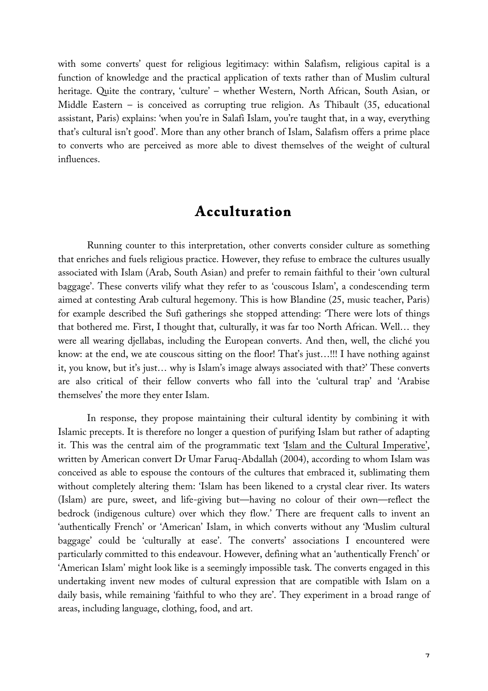with some converts' quest for religious legitimacy: within Salafism, religious capital is a function of knowledge and the practical application of texts rather than of Muslim cultural heritage. Quite the contrary, 'culture' – whether Western, North African, South Asian, or Middle Eastern – is conceived as corrupting true religion. As Thibault (35, educational assistant, Paris) explains: 'when you're in Salafi Islam, you're taught that, in a way, everything that's cultural isn't good'. More than any other branch of Islam, Salafism offers a prime place to converts who are perceived as more able to divest themselves of the weight of cultural influences.

#### **Acculturation**

Running counter to this interpretation, other converts consider culture as something that enriches and fuels religious practice. However, they refuse to embrace the cultures usually associated with Islam (Arab, South Asian) and prefer to remain faithful to their 'own cultural baggage'. These converts vilify what they refer to as 'couscous Islam', a condescending term aimed at contesting Arab cultural hegemony. This is how Blandine (25, music teacher, Paris) for example described the Sufi gatherings she stopped attending: 'There were lots of things that bothered me. First, I thought that, culturally, it was far too North African. Well… they were all wearing djellabas, including the European converts. And then, well, the cliché you know: at the end, we ate couscous sitting on the floor! That's just…!!! I have nothing against it, you know, but it's just… why is Islam's image always associated with that?' These converts are also critical of their fellow converts who fall into the 'cultural trap' and 'Arabise themselves' the more they enter Islam.

In response, they propose maintaining their cultural identity by combining it with Islamic precepts. It is therefore no longer a question of purifying Islam but rather of adapting it. This was the central aim of the programmatic text 'Islam and the Cultural Imperative', written by American convert Dr Umar Faruq-Abdallah (2004), according to whom Islam was conceived as able to espouse the contours of the cultures that embraced it, sublimating them without completely altering them: 'Islam has been likened to a crystal clear river. Its waters (Islam) are pure, sweet, and life-giving but—having no colour of their own—reflect the bedrock (indigenous culture) over which they flow.' There are frequent calls to invent an 'authentically French' or 'American' Islam, in which converts without any 'Muslim cultural baggage' could be 'culturally at ease'. The converts' associations I encountered were particularly committed to this endeavour. However, defining what an 'authentically French' or 'American Islam' might look like is a seemingly impossible task. The converts engaged in this undertaking invent new modes of cultural expression that are compatible with Islam on a daily basis, while remaining 'faithful to who they are'. They experiment in a broad range of areas, including language, clothing, food, and art.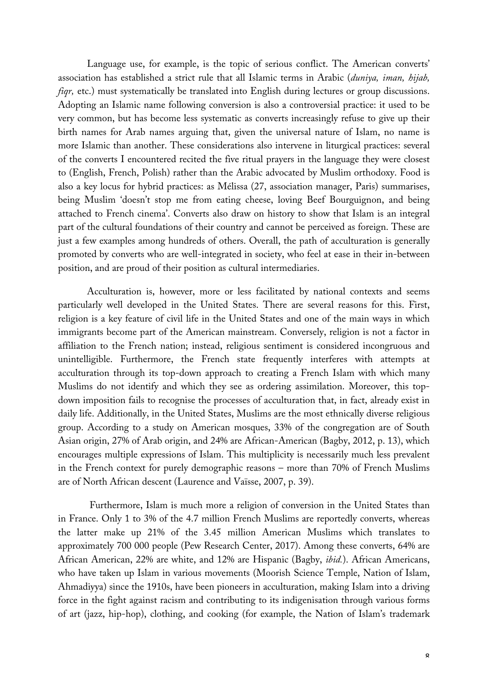Language use, for example, is the topic of serious conflict. The American converts' association has established a strict rule that all Islamic terms in Arabic (*duniya, iman, hijab, figr*, etc.) must systematically be translated into English during lectures or group discussions. Adopting an Islamic name following conversion is also a controversial practice: it used to be very common, but has become less systematic as converts increasingly refuse to give up their birth names for Arab names arguing that, given the universal nature of Islam, no name is more Islamic than another. These considerations also intervene in liturgical practices: several of the converts I encountered recited the five ritual prayers in the language they were closest to (English, French, Polish) rather than the Arabic advocated by Muslim orthodoxy. Food is also a key locus for hybrid practices: as Mélissa (27, association manager, Paris) summarises, being Muslim 'doesn't stop me from eating cheese, loving Beef Bourguignon, and being attached to French cinema'. Converts also draw on history to show that Islam is an integral part of the cultural foundations of their country and cannot be perceived as foreign. These are just a few examples among hundreds of others. Overall, the path of acculturation is generally promoted by converts who are well-integrated in society, who feel at ease in their in-between position, and are proud of their position as cultural intermediaries.

Acculturation is, however, more or less facilitated by national contexts and seems particularly well developed in the United States. There are several reasons for this. First, religion is a key feature of civil life in the United States and one of the main ways in which immigrants become part of the American mainstream. Conversely, religion is not a factor in affiliation to the French nation; instead, religious sentiment is considered incongruous and unintelligible. Furthermore, the French state frequently interferes with attempts at acculturation through its top-down approach to creating a French Islam with which many Muslims do not identify and which they see as ordering assimilation. Moreover, this topdown imposition fails to recognise the processes of acculturation that, in fact, already exist in daily life. Additionally, in the United States, Muslims are the most ethnically diverse religious group. According to a study on American mosques, 33% of the congregation are of South Asian origin, 27% of Arab origin, and 24% are African-American (Bagby, 2012, p. 13), which encourages multiple expressions of Islam. This multiplicity is necessarily much less prevalent in the French context for purely demographic reasons – more than 70% of French Muslims are of North African descent (Laurence and Vaïsse, 2007, p. 39).

Furthermore, Islam is much more a religion of conversion in the United States than in France. Only 1 to 3% of the 4.7 million French Muslims are reportedly converts, whereas the latter make up 21% of the 3.45 million American Muslims which translates to approximately 700 000 people (Pew Research Center, 2017). Among these converts, 64% are African American, 22% are white, and 12% are Hispanic (Bagby, *ibid.*). African Americans, who have taken up Islam in various movements (Moorish Science Temple, Nation of Islam, Ahmadiyya) since the 1910s, have been pioneers in acculturation, making Islam into a driving force in the fight against racism and contributing to its indigenisation through various forms of art (jazz, hip-hop), clothing, and cooking (for example, the Nation of Islam's trademark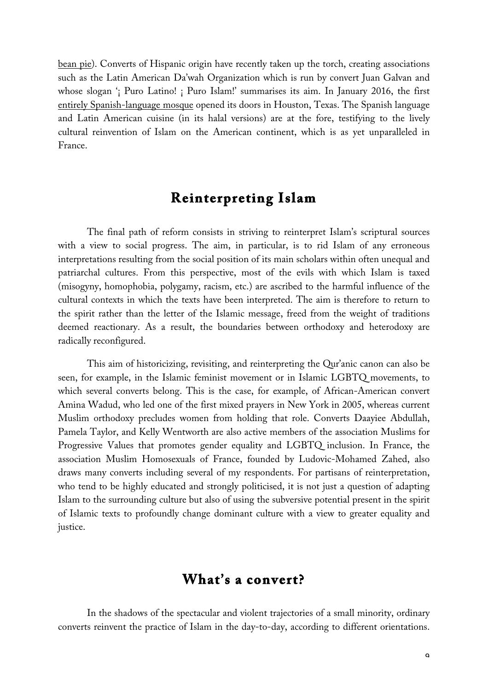bean pie). Converts of Hispanic origin have recently taken up the torch, creating associations such as the Latin American Da'wah Organization which is run by convert Juan Galvan and whose slogan '¡ Puro Latino! ¡ Puro Islam!' summarises its aim. In January 2016, the first entirely Spanish-language mosque opened its doors in Houston, Texas. The Spanish language and Latin American cuisine (in its halal versions) are at the fore, testifying to the lively cultural reinvention of Islam on the American continent, which is as yet unparalleled in France.

#### **Reinterpreting Islam**

The final path of reform consists in striving to reinterpret Islam's scriptural sources with a view to social progress. The aim, in particular, is to rid Islam of any erroneous interpretations resulting from the social position of its main scholars within often unequal and patriarchal cultures. From this perspective, most of the evils with which Islam is taxed (misogyny, homophobia, polygamy, racism, etc.) are ascribed to the harmful influence of the cultural contexts in which the texts have been interpreted. The aim is therefore to return to the spirit rather than the letter of the Islamic message, freed from the weight of traditions deemed reactionary. As a result, the boundaries between orthodoxy and heterodoxy are radically reconfigured.

This aim of historicizing, revisiting, and reinterpreting the Qur'anic canon can also be seen, for example, in the Islamic feminist movement or in Islamic LGBTQ movements, to which several converts belong. This is the case, for example, of African-American convert Amina Wadud, who led one of the first mixed prayers in New York in 2005, whereas current Muslim orthodoxy precludes women from holding that role. Converts Daayiee Abdullah, Pamela Taylor, and Kelly Wentworth are also active members of the association Muslims for Progressive Values that promotes gender equality and LGBTQ inclusion. In France, the association Muslim Homosexuals of France, founded by Ludovic-Mohamed Zahed, also draws many converts including several of my respondents. For partisans of reinterpretation, who tend to be highly educated and strongly politicised, it is not just a question of adapting Islam to the surrounding culture but also of using the subversive potential present in the spirit of Islamic texts to profoundly change dominant culture with a view to greater equality and justice.

### **What's a convert?**

In the shadows of the spectacular and violent trajectories of a small minority, ordinary converts reinvent the practice of Islam in the day-to-day, according to different orientations.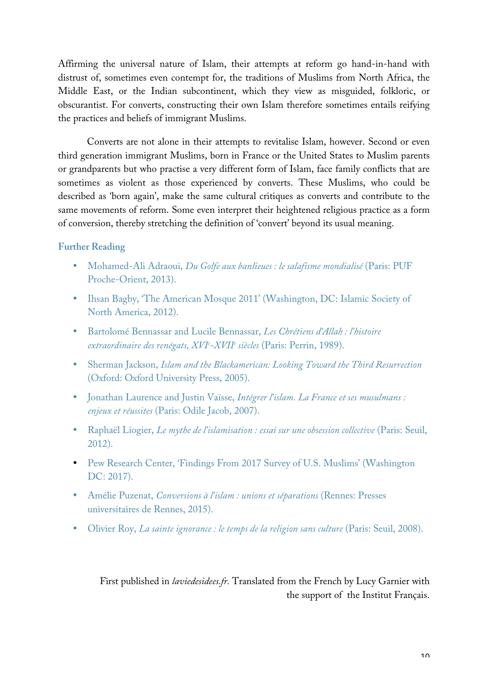Affirming the universal nature of Islam, their attempts at reform go hand-in-hand with distrust of, sometimes even contempt for, the traditions of Muslims from North Africa, the Middle East, or the Indian subcontinent, which they view as misguided, folkloric, or obscurantist. For converts, constructing their own Islam therefore sometimes entails reifying the practices and beliefs of immigrant Muslims.

Converts are not alone in their attempts to revitalise Islam, however. Second or even third generation immigrant Muslims, born in France or the United States to Muslim parents or grandparents but who practise a very different form of Islam, face family conflicts that are sometimes as violent as those experienced by converts. These Muslims, who could be described as 'born again', make the same cultural critiques as converts and contribute to the same movements of reform. Some even interpret their heightened religious practice as a form of conversion, thereby stretching the definition of 'convert' beyond its usual meaning.

#### **Further Reading**

- Mohamed-Ali Adraoui, *Du Golfe aux banlieues : le salafisme mondialisé* (Paris: PUF Proche-Orient, 2013).
- Ihsan Bagby, 'The American Mosque 2011' (Washington, DC: Islamic Society of North America, 2012).
- Bartolomé Bennassar and Lucile Bennassar, *Les Chrétiens d'Allah : l'histoire extraordinaire des renégats, XVIe -XVIIe siècles* (Paris: Perrin, 1989).
- Sherman Jackson, *Islam and the Blackamerican: Looking Toward the Third Resurrection* (Oxford: Oxford University Press, 2005).
- Jonathan Laurence and Justin Vaïsse, *Intégrer l'islam. La France et ses musulmans : enjeux et réussites* (Paris: Odile Jacob, 2007).
- Raphaël Liogier, *Le mythe de l'islamisation : essai sur une obsession collective* (Paris: Seuil, 2012).
- Pew Research Center, 'Findings From 2017 Survey of U.S. Muslims' (Washington DC: 2017).
- Amélie Puzenat, *Conversions à l'islam : unions et séparations* (Rennes: Presses universitaires de Rennes, 2015).
- Olivier Roy, *La sainte ignorance : le temps de la religion sans culture* (Paris: Seuil, 2008).

First published in *laviedesidees.fr.* Translated from the French by Lucy Garnier with the support of the Institut Français.